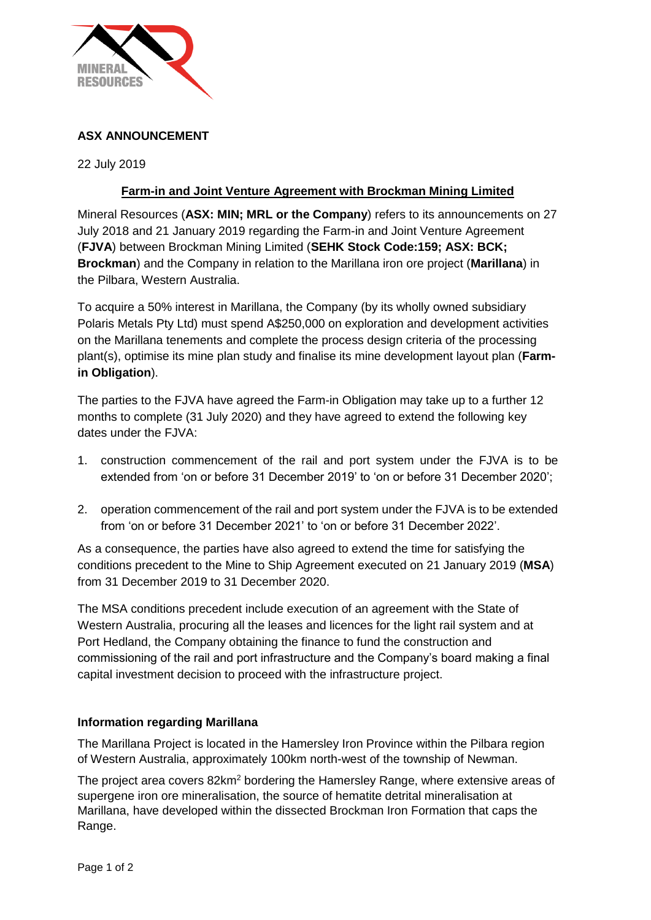

# **ASX ANNOUNCEMENT**

22 July 2019

# **Farm-in and Joint Venture Agreement with Brockman Mining Limited**

Mineral Resources (**ASX: MIN; MRL or the Company**) refers to its announcements on 27 July 2018 and 21 January 2019 regarding the Farm-in and Joint Venture Agreement (**FJVA**) between Brockman Mining Limited (**SEHK Stock Code:159; ASX: BCK; Brockman**) and the Company in relation to the Marillana iron ore project (**Marillana**) in the Pilbara, Western Australia.

To acquire a 50% interest in Marillana, the Company (by its wholly owned subsidiary Polaris Metals Pty Ltd) must spend A\$250,000 on exploration and development activities on the Marillana tenements and complete the process design criteria of the processing plant(s), optimise its mine plan study and finalise its mine development layout plan (**Farmin Obligation**).

The parties to the FJVA have agreed the Farm-in Obligation may take up to a further 12 months to complete (31 July 2020) and they have agreed to extend the following key dates under the FJVA:

- 1. construction commencement of the rail and port system under the FJVA is to be extended from 'on or before 31 December 2019' to 'on or before 31 December 2020';
- 2. operation commencement of the rail and port system under the FJVA is to be extended from 'on or before 31 December 2021' to 'on or before 31 December 2022'.

As a consequence, the parties have also agreed to extend the time for satisfying the conditions precedent to the Mine to Ship Agreement executed on 21 January 2019 (**MSA**) from 31 December 2019 to 31 December 2020.

The MSA conditions precedent include execution of an agreement with the State of Western Australia, procuring all the leases and licences for the light rail system and at Port Hedland, the Company obtaining the finance to fund the construction and commissioning of the rail and port infrastructure and the Company's board making a final capital investment decision to proceed with the infrastructure project.

# **Information regarding Marillana**

The Marillana Project is located in the Hamersley Iron Province within the Pilbara region of Western Australia, approximately 100km north-west of the township of Newman.

The project area covers 82km<sup>2</sup> bordering the Hamersley Range, where extensive areas of supergene iron ore mineralisation, the source of hematite detrital mineralisation at Marillana, have developed within the dissected Brockman Iron Formation that caps the Range.